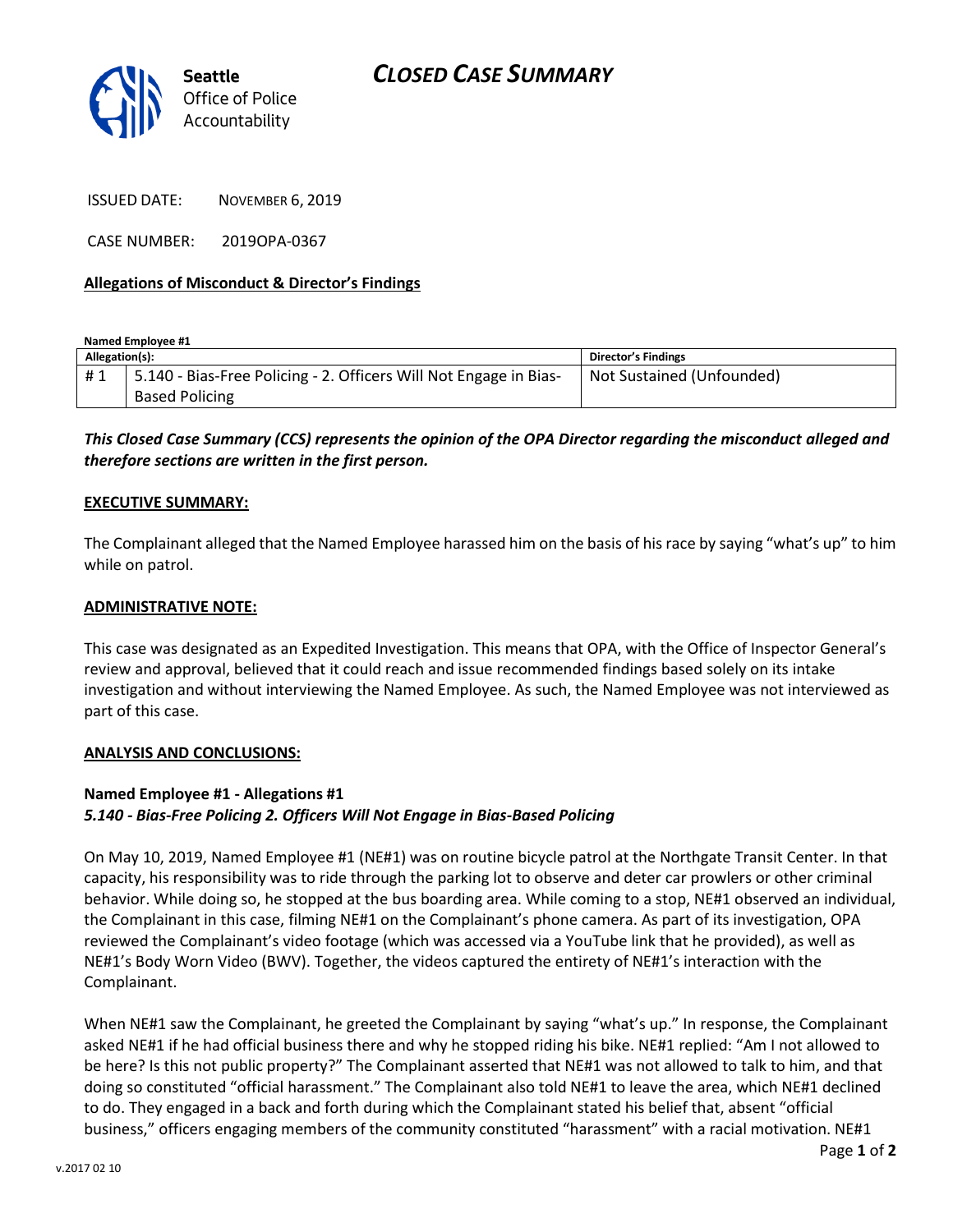

ISSUED DATE: NOVEMBER 6, 2019

CASE NUMBER: 2019OPA-0367

## **Allegations of Misconduct & Director's Findings**

**Named Employee #1**

| Allegation(s): |                                                                   | <b>Director's Findings</b> |
|----------------|-------------------------------------------------------------------|----------------------------|
| #1             | 5.140 - Bias-Free Policing - 2. Officers Will Not Engage in Bias- | Not Sustained (Unfounded)  |
|                | <b>Based Policing</b>                                             |                            |

# *This Closed Case Summary (CCS) represents the opinion of the OPA Director regarding the misconduct alleged and therefore sections are written in the first person.*

#### **EXECUTIVE SUMMARY:**

The Complainant alleged that the Named Employee harassed him on the basis of his race by saying "what's up" to him while on patrol.

#### **ADMINISTRATIVE NOTE:**

This case was designated as an Expedited Investigation. This means that OPA, with the Office of Inspector General's review and approval, believed that it could reach and issue recommended findings based solely on its intake investigation and without interviewing the Named Employee. As such, the Named Employee was not interviewed as part of this case.

#### **ANALYSIS AND CONCLUSIONS:**

## **Named Employee #1 - Allegations #1**

## *5.140 - Bias-Free Policing 2. Officers Will Not Engage in Bias-Based Policing*

On May 10, 2019, Named Employee #1 (NE#1) was on routine bicycle patrol at the Northgate Transit Center. In that capacity, his responsibility was to ride through the parking lot to observe and deter car prowlers or other criminal behavior. While doing so, he stopped at the bus boarding area. While coming to a stop, NE#1 observed an individual, the Complainant in this case, filming NE#1 on the Complainant's phone camera. As part of its investigation, OPA reviewed the Complainant's video footage (which was accessed via a YouTube link that he provided), as well as NE#1's Body Worn Video (BWV). Together, the videos captured the entirety of NE#1's interaction with the Complainant.

When NE#1 saw the Complainant, he greeted the Complainant by saying "what's up." In response, the Complainant asked NE#1 if he had official business there and why he stopped riding his bike. NE#1 replied: "Am I not allowed to be here? Is this not public property?" The Complainant asserted that NE#1 was not allowed to talk to him, and that doing so constituted "official harassment." The Complainant also told NE#1 to leave the area, which NE#1 declined to do. They engaged in a back and forth during which the Complainant stated his belief that, absent "official business," officers engaging members of the community constituted "harassment" with a racial motivation. NE#1